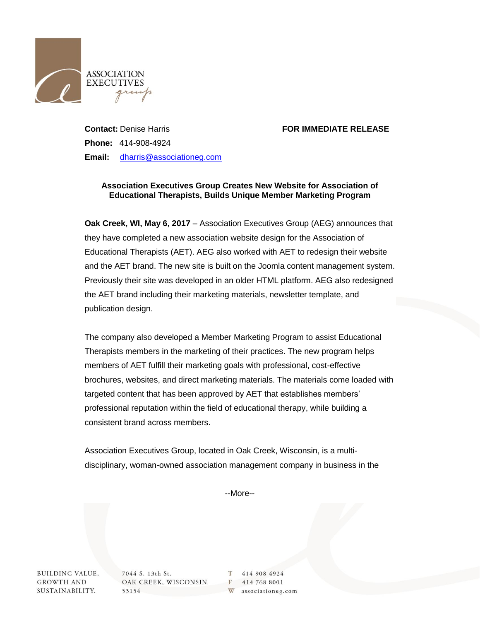

## **Contact:** Denise Harris **FOR IMMEDIATE RELEASE**

**Phone:** 414-908-4924 **Email:** [dharris@associationeg.com](mailto:dharris@associationeg.com)

## **Association Executives Group Creates New Website for Association of Educational Therapists, Builds Unique Member Marketing Program**

**Oak Creek, WI, May 6, 2017** – Association Executives Group (AEG) announces that they have completed a new association website design for the Association of Educational Therapists (AET). AEG also worked with AET to redesign their website and the AET brand. The new site is built on the Joomla content management system. Previously their site was developed in an older HTML platform. AEG also redesigned the AET brand including their marketing materials, newsletter template, and publication design.

The company also developed a Member Marketing Program to assist Educational Therapists members in the marketing of their practices. The new program helps members of AET fulfill their marketing goals with professional, cost-effective brochures, websites, and direct marketing materials. The materials come loaded with targeted content that has been approved by AET that establishes members' professional reputation within the field of educational therapy, while building a consistent brand across members.

Association Executives Group, located in Oak Creek, Wisconsin, is a multidisciplinary, woman-owned association management company in business in the

--More--

**BUILDING VALUE, GROWTH AND** SUSTAINABILITY.

7044 S. 13th St. OAK CREEK, WISCONSIN 53154

T 414 908 4924 F 414 768 8001 W associationeg.com